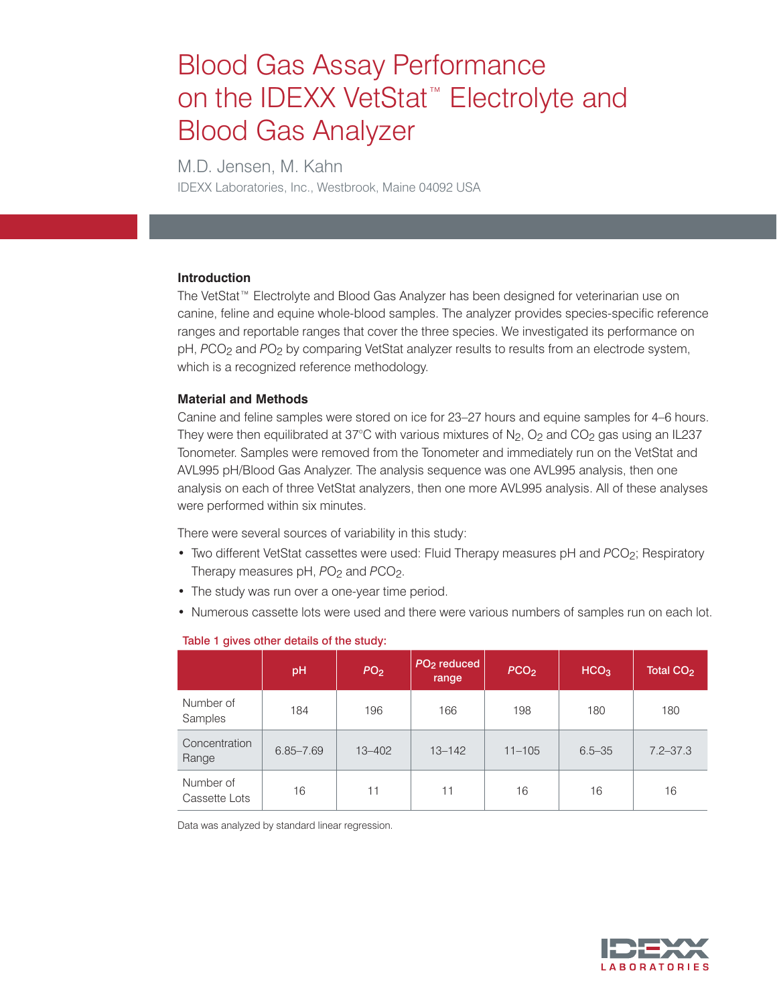# Blood Gas Assay Performance on the IDEXX VetStat<sup>™</sup> Electrolyte and Blood Gas Analyzer

M.D. Jensen, M. Kahn IDEXX Laboratories, Inc., Westbrook, Maine 04092 USA

## **Introduction**

The VetStat™ Electrolyte and Blood Gas Analyzer has been designed for veterinarian use on canine, feline and equine whole-blood samples. The analyzer provides species-specific reference ranges and reportable ranges that cover the three species. We investigated its performance on pH, PCO<sub>2</sub> and PO<sub>2</sub> by comparing VetStat analyzer results to results from an electrode system, which is a recognized reference methodology.

## **Material and Methods**

Canine and feline samples were stored on ice for 23–27 hours and equine samples for 4–6 hours. They were then equilibrated at 37°C with various mixtures of  $N_2$ ,  $O_2$  and  $CO_2$  gas using an IL237 Tonometer. Samples were removed from the Tonometer and immediately run on the VetStat and AVL995 pH/Blood Gas Analyzer. The analysis sequence was one AVL995 analysis, then one analysis on each of three VetStat analyzers, then one more AVL995 analysis. All of these analyses were performed within six minutes.

There were several sources of variability in this study:

- Two different VetStat cassettes were used: Fluid Therapy measures pH and *PCO*<sub>2</sub>; Respiratory Therapy measures pH,  $PO<sub>2</sub>$  and  $PCO<sub>2</sub>$ .
- The study was run over a one-year time period.
- Numerous cassette lots were used and there were various numbers of samples run on each lot.

|                            | pH            | PO <sub>2</sub> | PO <sub>2</sub> reduced<br>range | PCO <sub>2</sub> | HCO <sub>3</sub> | Total CO <sub>2</sub> |
|----------------------------|---------------|-----------------|----------------------------------|------------------|------------------|-----------------------|
| Number of<br>Samples       | 184           | 196             | 166                              | 198              | 180              | 180                   |
| Concentration<br>Range     | $6.85 - 7.69$ | $13 - 402$      | $13 - 142$                       | $11 - 105$       | $6.5 - 35$       | $7.2 - 37.3$          |
| Number of<br>Cassette Lots | 16            | 11              | 11                               | 16               | 16               | 16                    |

### Table 1 gives other details of the study:

Data was analyzed by standard linear regression.

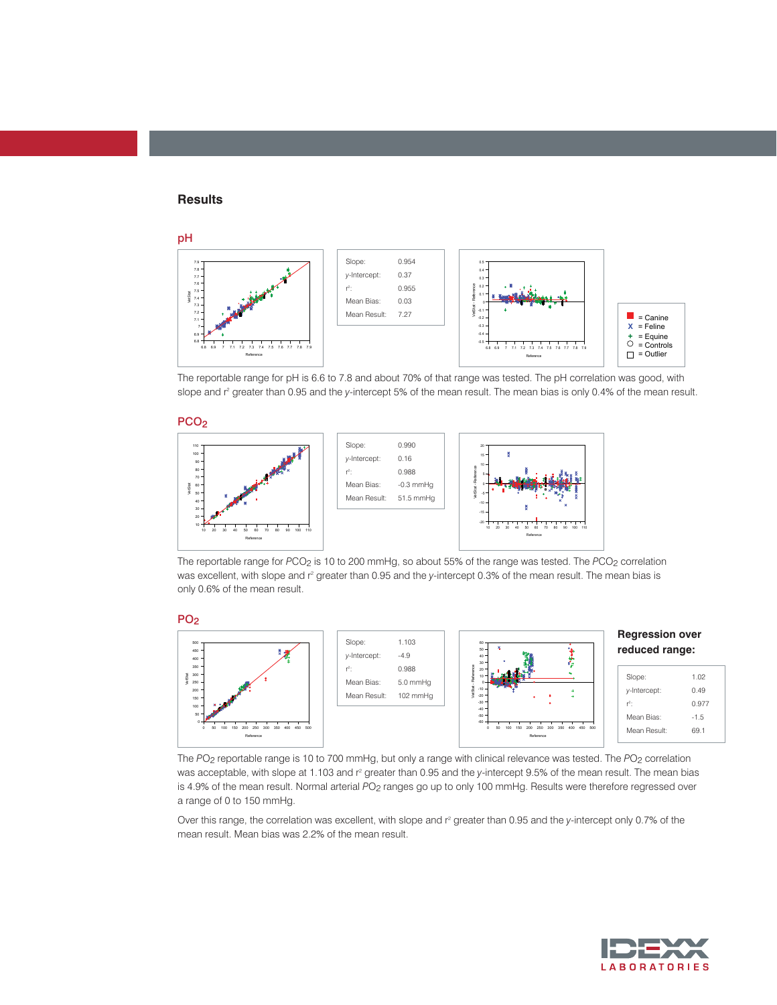#### **Results**



The reportable range for pH is 6.6 to 7.8 and about 70% of that range was tested. The pH correlation was good, with slope and r<sup>2</sup> greater than 0.95 and the y-intercept 5% of the mean result. The mean bias is only 0.4% of the mean result.

#### PCO<sub>2</sub>



The reportable range for *PCO*<sub>2</sub> is 10 to 200 mmHg, so about 55% of the range was tested. The *PCO*<sub>2</sub> correlation was excellent, with slope and r<sup>2</sup> greater than 0.95 and the *y*-intercept 0.3% of the mean result. The mean bias is only 0.6% of the mean result.





The PO<sub>2</sub> reportable range is 10 to 700 mmHg, but only a range with clinical relevance was tested. The PO<sub>2</sub> correlation was acceptable, with slope at 1.103 and r<sup>2</sup> greater than 0.95 and the y-intercept 9.5% of the mean result. The mean bias is 4.9% of the mean result. Normal arterial PO<sub>2</sub> ranges go up to only 100 mmHg. Results were therefore regressed over a range of 0 to 150 mmHg.

Over this range, the correlation was excellent, with slope and r<sup>2</sup> greater than 0.95 and the y-intercept only 0.7% of the mean result. Mean bias was 2.2% of the mean result.